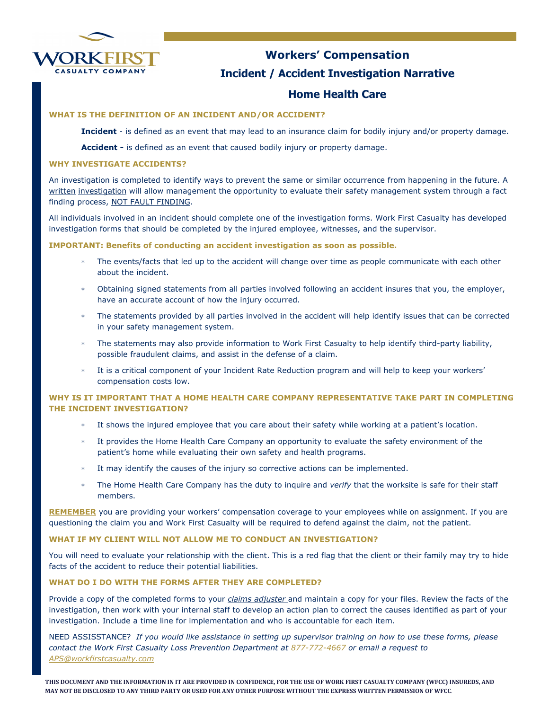

# Workers' Compensation Incident / Accident Investigation Narrative

## Home Health Care

#### WHAT IS THE DEFINITION OF AN INCIDENT AND/OR ACCIDENT?

Incident - is defined as an event that may lead to an insurance claim for bodily injury and/or property damage.

Accident - is defined as an event that caused bodily injury or property damage.

#### WHY INVESTIGATE ACCIDENTS?

An investigation is completed to identify ways to prevent the same or similar occurrence from happening in the future. A written investigation will allow management the opportunity to evaluate their safety management system through a fact finding process, NOT FAULT FINDING.

All individuals involved in an incident should complete one of the investigation forms. Work First Casualty has developed investigation forms that should be completed by the injured employee, witnesses, and the supervisor.

IMPORTANT: Benefits of conducting an accident investigation as soon as possible.

- The events/facts that led up to the accident will change over time as people communicate with each other about the incident.
- ∗ Obtaining signed statements from all parties involved following an accident insures that you, the employer, have an accurate account of how the injury occurred.
- The statements provided by all parties involved in the accident will help identify issues that can be corrected in your safety management system.
- The statements may also provide information to Work First Casualty to help identify third-party liability, possible fraudulent claims, and assist in the defense of a claim.
- It is a critical component of your Incident Rate Reduction program and will help to keep your workers' compensation costs low.

#### WHY IS IT IMPORTANT THAT A HOME HEALTH CARE COMPANY REPRESENTATIVE TAKE PART IN COMPLETING THE INCIDENT INVESTIGATION?

- It shows the injured employee that you care about their safety while working at a patient's location.
- It provides the Home Health Care Company an opportunity to evaluate the safety environment of the patient's home while evaluating their own safety and health programs.
- It may identify the causes of the injury so corrective actions can be implemented.
- The Home Health Care Company has the duty to inquire and verify that the worksite is safe for their staff members.

REMEMBER you are providing your workers' compensation coverage to your employees while on assignment. If you are questioning the claim you and Work First Casualty will be required to defend against the claim, not the patient.

#### WHAT IF MY CLIENT WILL NOT ALLOW ME TO CONDUCT AN INVESTIGATION?

You will need to evaluate your relationship with the client. This is a red flag that the client or their family may try to hide facts of the accident to reduce their potential liabilities.

#### WHAT DO I DO WITH THE FORMS AFTER THEY ARE COMPLETED?

Provide a copy of the completed forms to your *claims adjuster* and maintain a copy for your files. Review the facts of the investigation, then work with your internal staff to develop an action plan to correct the causes identified as part of your investigation. Include a time line for implementation and who is accountable for each item.

NEED ASSISSTANCE? If you would like assistance in setting up supervisor training on how to use these forms, please contact the Work First Casualty Loss Prevention Department at 877-772-4667 or email a request to APS@workfirstcasualty.com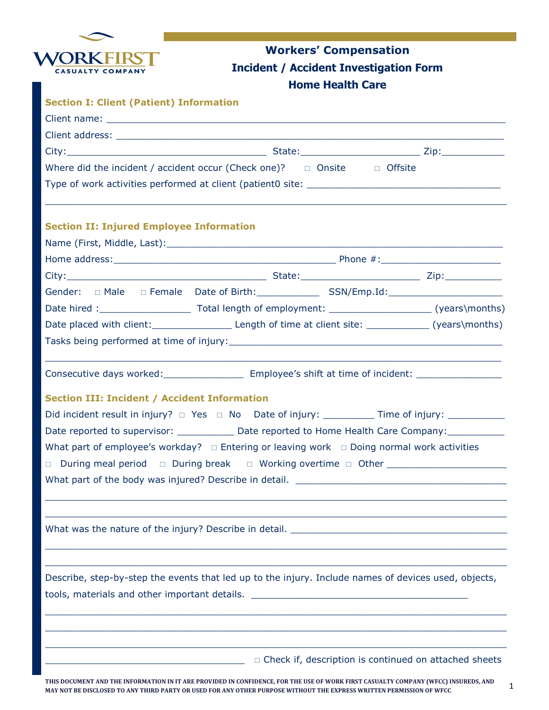

## Workers' Compensation Incident / Accident Investigation Form Home Health Care

| <b>Section I: Client (Patient) Information</b>      |                                                                                                                                                                                                                               |  |
|-----------------------------------------------------|-------------------------------------------------------------------------------------------------------------------------------------------------------------------------------------------------------------------------------|--|
|                                                     |                                                                                                                                                                                                                               |  |
|                                                     |                                                                                                                                                                                                                               |  |
|                                                     |                                                                                                                                                                                                                               |  |
|                                                     | Where did the incident / accident occur (Check one)? $\Box$ Onsite $\Box$ Offsite                                                                                                                                             |  |
|                                                     |                                                                                                                                                                                                                               |  |
| <b>Section II: Injured Employee Information</b>     |                                                                                                                                                                                                                               |  |
|                                                     |                                                                                                                                                                                                                               |  |
|                                                     |                                                                                                                                                                                                                               |  |
|                                                     |                                                                                                                                                                                                                               |  |
|                                                     |                                                                                                                                                                                                                               |  |
|                                                     |                                                                                                                                                                                                                               |  |
|                                                     |                                                                                                                                                                                                                               |  |
|                                                     |                                                                                                                                                                                                                               |  |
|                                                     | Consecutive days worked: _______________________ Employee's shift at time of incident: ______________________                                                                                                                 |  |
| <b>Section III: Incident / Accident Information</b> |                                                                                                                                                                                                                               |  |
|                                                     | Did incident result in injury? □ Yes □ No Date of injury: ___________ Time of injury: ___________                                                                                                                             |  |
|                                                     | Date reported to supervisor: _______________ Date reported to Home Health Care Company: ___________                                                                                                                           |  |
|                                                     | What part of employee's workday? $\Box$ Entering or leaving work $\Box$ Doing normal work activities                                                                                                                          |  |
|                                                     | □ During meal period □ During break □ Working overtime □ Other _________________                                                                                                                                              |  |
|                                                     |                                                                                                                                                                                                                               |  |
|                                                     | What was the nature of the injury? Describe in detail. __________________________                                                                                                                                             |  |
|                                                     | Describe, step-by-step the events that led up to the injury. Include names of devices used, objects,                                                                                                                          |  |
|                                                     | tools, materials and other important details. The material of the state of the state of the state of the state of the state of the state of the state of the state of the state of the state of the state of the state of the |  |
|                                                     |                                                                                                                                                                                                                               |  |
|                                                     | $\Box$ Check if, description is continued on attached sheets                                                                                                                                                                  |  |

1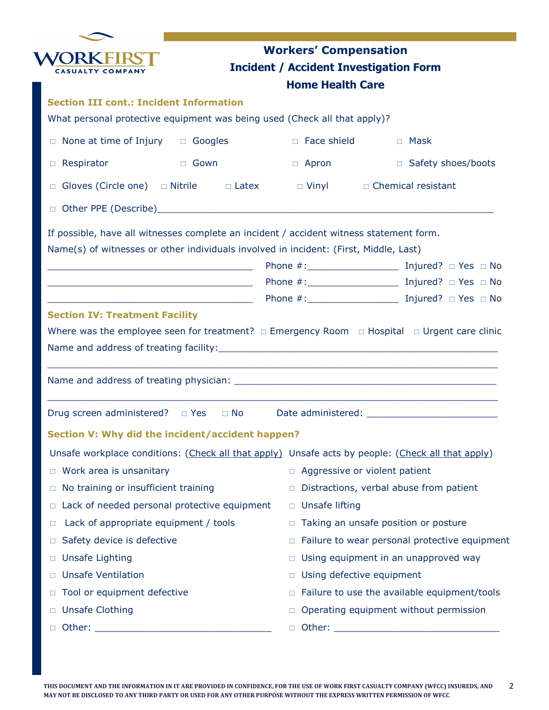|                                                                                                                                                                                  | <b>Workers' Compensation</b> |                                               |
|----------------------------------------------------------------------------------------------------------------------------------------------------------------------------------|------------------------------|-----------------------------------------------|
|                                                                                                                                                                                  |                              | <b>Incident / Accident Investigation Form</b> |
|                                                                                                                                                                                  | <b>Home Health Care</b>      |                                               |
| <b>Section III cont.: Incident Information</b>                                                                                                                                   |                              |                                               |
| What personal protective equipment was being used (Check all that apply)?                                                                                                        |                              |                                               |
| None at time of Injury $\Box$ Googles<br>$\Box$                                                                                                                                  | $\Box$ Face shield           | □ Mask                                        |
| Respirator<br>tional de Gown de Gown<br>$\Box$                                                                                                                                   | $\Box$ Apron                 | □ Safety shoes/boots                          |
| Gloves (Circle one) $\Box$ Nitrile $\Box$ Latex $\Box$ Vinyl $\Box$ Chemical resistant<br>$\Box$                                                                                 |                              |                                               |
| $\Box$                                                                                                                                                                           |                              |                                               |
|                                                                                                                                                                                  |                              |                                               |
| If possible, have all witnesses complete an incident / accident witness statement form.<br>Name(s) of witnesses or other individuals involved in incident: (First, Middle, Last) |                              |                                               |
| <u> 1980 - Johann Barn, mars eta bainar eta bat erroman erroman ezkin erroman ezkin erroman ezkin erroman ezkin</u>                                                              |                              |                                               |
|                                                                                                                                                                                  |                              |                                               |
|                                                                                                                                                                                  |                              |                                               |
| <b>Section IV: Treatment Facility</b>                                                                                                                                            |                              |                                               |
| Where was the employee seen for treatment? $\Box$ Emergency Room $\Box$ Hospital $\Box$ Urgent care clinic                                                                       |                              |                                               |
|                                                                                                                                                                                  |                              |                                               |
|                                                                                                                                                                                  |                              |                                               |
|                                                                                                                                                                                  |                              |                                               |
|                                                                                                                                                                                  |                              |                                               |
| Drug screen administered? □ Yes □ No                                                                                                                                             |                              |                                               |
| Section V: Why did the incident/accident happen?                                                                                                                                 |                              |                                               |
| Unsafe workplace conditions: (Check all that apply) Unsafe acts by people: (Check all that apply)                                                                                |                              |                                               |
| Work area is unsanitary<br>$\Box$                                                                                                                                                |                              | $\Box$ Aggressive or violent patient          |
| No training or insufficient training<br>$\Box$                                                                                                                                   | $\Box$                       | Distractions, verbal abuse from patient       |
| Lack of needed personal protective equipment<br>$\Box$                                                                                                                           | □ Unsafe lifting             |                                               |
| Lack of appropriate equipment / tools<br>$\Box$                                                                                                                                  |                              | □ Taking an unsafe position or posture        |
| Safety device is defective<br>$\Box$                                                                                                                                             | $\Box$                       | Failure to wear personal protective equipment |
| <b>Unsafe Lighting</b><br>$\Box$                                                                                                                                                 | $\Box$                       | Using equipment in an unapproved way          |
| <b>Unsafe Ventilation</b><br>$\Box$                                                                                                                                              | $\Box$                       | Using defective equipment                     |
| Tool or equipment defective<br>□                                                                                                                                                 | $\Box$                       | Failure to use the available equipment/tools  |
| <b>Unsafe Clothing</b><br>□                                                                                                                                                      |                              | Operating equipment without permission        |
| $\Box$                                                                                                                                                                           | $\Box$                       |                                               |
|                                                                                                                                                                                  |                              |                                               |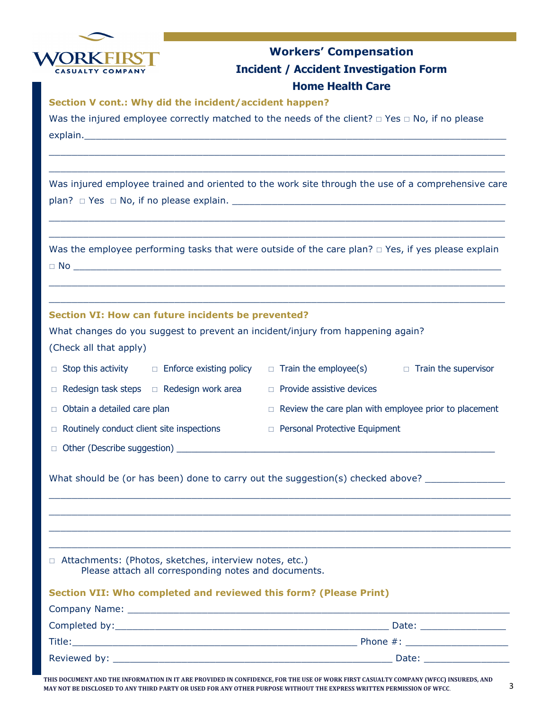

## Workers' Compensation Incident / Accident Investigation Form Home Health Care

Section V cont.: Why did the incident/accident happen?

Was the injured employee correctly matched to the needs of the client?  $\Box$  Yes  $\Box$  No, if no please explain.

Was injured employee trained and oriented to the work site through the use of a comprehensive care plan?  $\Box$  Yes  $\Box$  No, if no please explain.

\_\_\_\_\_\_\_\_\_\_\_\_\_\_\_\_\_\_\_\_\_\_\_\_\_\_\_\_\_\_\_\_\_\_\_\_\_\_\_\_\_\_\_\_\_\_\_\_\_\_\_\_\_\_\_\_\_\_\_\_\_\_\_\_\_\_\_\_\_\_\_\_\_\_\_\_\_\_\_\_ \_\_\_\_\_\_\_\_\_\_\_\_\_\_\_\_\_\_\_\_\_\_\_\_\_\_\_\_\_\_\_\_\_\_\_\_\_\_\_\_\_\_\_\_\_\_\_\_\_\_\_\_\_\_\_\_\_\_\_\_\_\_\_\_\_\_\_\_\_\_\_\_\_\_\_\_\_\_\_\_

\_\_\_\_\_\_\_\_\_\_\_\_\_\_\_\_\_\_\_\_\_\_\_\_\_\_\_\_\_\_\_\_\_\_\_\_\_\_\_\_\_\_\_\_\_\_\_\_\_\_\_\_\_\_\_\_\_\_\_\_\_\_\_\_\_\_\_\_\_\_\_\_\_\_\_\_\_\_\_\_ \_\_\_\_\_\_\_\_\_\_\_\_\_\_\_\_\_\_\_\_\_\_\_\_\_\_\_\_\_\_\_\_\_\_\_\_\_\_\_\_\_\_\_\_\_\_\_\_\_\_\_\_\_\_\_\_\_\_\_\_\_\_\_\_\_\_\_\_\_\_\_\_\_\_\_\_\_\_\_\_

| Was the employee performing tasks that were outside of the care plan? $\Box$ Yes, if yes please explain |  |
|---------------------------------------------------------------------------------------------------------|--|
| $\Box$ No                                                                                               |  |

\_\_\_\_\_\_\_\_\_\_\_\_\_\_\_\_\_\_\_\_\_\_\_\_\_\_\_\_\_\_\_\_\_\_\_\_\_\_\_\_\_\_\_\_\_\_\_\_\_\_\_\_\_\_\_\_\_\_\_\_\_\_\_\_\_\_\_\_\_\_\_\_\_\_\_\_\_\_\_\_ \_\_\_\_\_\_\_\_\_\_\_\_\_\_\_\_\_\_\_\_\_\_\_\_\_\_\_\_\_\_\_\_\_\_\_\_\_\_\_\_\_\_\_\_\_\_\_\_\_\_\_\_\_\_\_\_\_\_\_\_\_\_\_\_\_\_\_\_\_\_\_\_\_\_\_\_\_\_\_\_

### Section VI: How can future incidents be prevented?

What changes do you suggest to prevent an incident/injury from happening again?

(Check all that apply)

| $\Box$ Stop this activity                        | $\Box$ Enforce existing policy                       | $\Box$ Train the employee(s)                                 | $\Box$ Train the supervisor |
|--------------------------------------------------|------------------------------------------------------|--------------------------------------------------------------|-----------------------------|
|                                                  | $\Box$ Redesign task steps $\Box$ Redesign work area | $\Box$ Provide assistive devices                             |                             |
| $\Box$ Obtain a detailed care plan               |                                                      | $\Box$ Review the care plan with employee prior to placement |                             |
| $\Box$ Routinely conduct client site inspections |                                                      | $\Box$ Personal Protective Equipment                         |                             |
| □ Other (Describe suggestion)                    |                                                      |                                                              |                             |

\_\_\_\_\_\_\_\_\_\_\_\_\_\_\_\_\_\_\_\_\_\_\_\_\_\_\_\_\_\_\_\_\_\_\_\_\_\_\_\_\_\_\_\_\_\_\_\_\_\_\_\_\_\_\_\_\_\_\_\_\_\_\_\_\_\_\_\_\_\_\_\_\_\_\_\_\_\_\_\_\_ \_\_\_\_\_\_\_\_\_\_\_\_\_\_\_\_\_\_\_\_\_\_\_\_\_\_\_\_\_\_\_\_\_\_\_\_\_\_\_\_\_\_\_\_\_\_\_\_\_\_\_\_\_\_\_\_\_\_\_\_\_\_\_\_\_\_\_\_\_\_\_\_\_\_\_\_\_\_\_\_\_ \_\_\_\_\_\_\_\_\_\_\_\_\_\_\_\_\_\_\_\_\_\_\_\_\_\_\_\_\_\_\_\_\_\_\_\_\_\_\_\_\_\_\_\_\_\_\_\_\_\_\_\_\_\_\_\_\_\_\_\_\_\_\_\_\_\_\_\_\_\_\_\_\_\_\_\_\_\_\_\_\_ \_\_\_\_\_\_\_\_\_\_\_\_\_\_\_\_\_\_\_\_\_\_\_\_\_\_\_\_\_\_\_\_\_\_\_\_\_\_\_\_\_\_\_\_\_\_\_\_\_\_\_\_\_\_\_\_\_\_\_\_\_\_\_\_\_\_\_\_\_\_\_\_\_\_\_\_\_\_\_\_\_

What should be (or has been) done to carry out the suggestion(s) checked above? \_\_\_\_\_\_\_\_\_\_\_\_\_\_\_\_\_\_\_\_

□ Attachments: (Photos, sketches, interview notes, etc.) Please attach all corresponding notes and documents.

### Section VII: Who completed and reviewed this form? (Please Print)

| Company Name:                      |             |
|------------------------------------|-------------|
| Completed by: <u>completed</u> by: | Date:       |
| Title:                             | Phone $#$ : |
|                                    | Date:       |

THIS DOCUMENT AND THE INFORMATION IN IT ARE PROVIDED IN CONFIDENCE, FOR THE USE OF WORK FIRST CASUALTY COMPANY (WFCC) INSUREDS, AND MAY NOT BE DISCLOSED TO ANY THIRD PARTY OR USED FOR ANY OTHER PURPOSE WITHOUT THE EXPRESS WRITTEN PERMISSION OF WFCC.